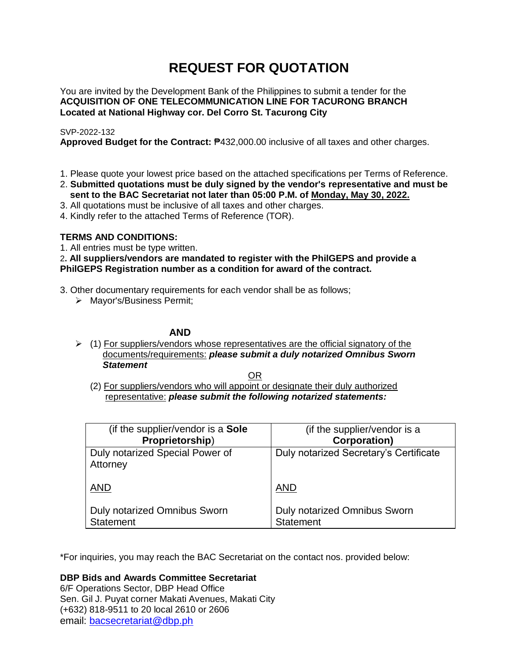# **REQUEST FOR QUOTATION**

You are invited by the Development Bank of the Philippines to submit a tender for the **ACQUISITION OF ONE TELECOMMUNICATION LINE FOR TACURONG BRANCH Located at National Highway cor. Del Corro St. Tacurong City**

# SVP-2022-132

**Approved Budget for the Contract:** ₱432,000.00 inclusive of all taxes and other charges.

- 1. Please quote your lowest price based on the attached specifications per Terms of Reference.
- 2. **Submitted quotations must be duly signed by the vendor's representative and must be sent to the BAC Secretariat not later than 05:00 P.M. of Monday, May 30, 2022.**
- 3. All quotations must be inclusive of all taxes and other charges.
- 4. Kindly refer to the attached Terms of Reference (TOR).

# **TERMS AND CONDITIONS:**

1. All entries must be type written.

2**. All suppliers/vendors are mandated to register with the PhilGEPS and provide a PhilGEPS Registration number as a condition for award of the contract.**

- 3. Other documentary requirements for each vendor shall be as follows;
	- > Mayor's/Business Permit;

# **AND**

 $\geq$  (1) For suppliers/vendors whose representatives are the official signatory of the documents/requirements: *please submit a duly notarized Omnibus Sworn Statement*

<u>OR Starting and the Starting OR Starting</u>

(2) For suppliers/vendors who will appoint or designate their duly authorized representative: *please submit the following notarized statements:*

| (if the supplier/vendor is a Sole                | (if the supplier/vendor is a                     |
|--------------------------------------------------|--------------------------------------------------|
| Proprietorship)                                  | <b>Corporation)</b>                              |
| Duly notarized Special Power of<br>Attorney      | Duly notarized Secretary's Certificate           |
| <b>AND</b>                                       | <b>AND</b>                                       |
| Duly notarized Omnibus Sworn<br><b>Statement</b> | Duly notarized Omnibus Sworn<br><b>Statement</b> |

\*For inquiries, you may reach the BAC Secretariat on the contact nos. provided below:

**DBP Bids and Awards Committee Secretariat** 

6/F Operations Sector, DBP Head Office Sen. Gil J. Puyat corner Makati Avenues, Makati City (+632) 818-9511 to 20 local 2610 or 2606 email: [bacsecretariat@dbp.ph](mailto:bacsecretariat@dbp.ph)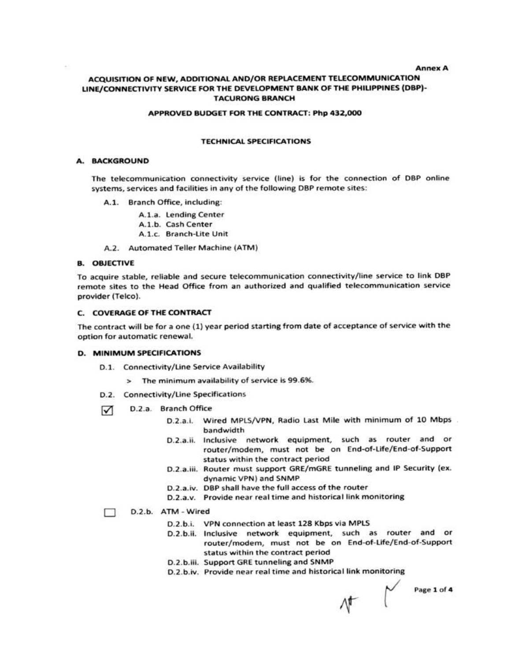#### **Annex A** ACQUISITION OF NEW, ADDITIONAL AND/OR REPLACEMENT TELECOMMUNICATION LINE/CONNECTIVITY SERVICE FOR THE DEVELOPMENT BANK OF THE PHILIPPINES (DBP)-**TACURONG BRANCH**

#### APPROVED BUDGET FOR THE CONTRACT: Php 432,000

#### **TECHNICAL SPECIFICATIONS**

#### A. BACKGROUND

The telecommunication connectivity service (line) is for the connection of DBP online systems, services and facilities in any of the following DBP remote sites:

A.1. Branch Office, including:

A.1.a. Lending Center A.1.b. Cash Center A.1.c. Branch-Lite Unit

A.2. Automated Teller Machine (ATM)

#### **B. OBJECTIVE**

To acquire stable, reliable and secure telecommunication connectivity/line service to link DBP remote sites to the Head Office from an authorized and qualified telecommunication service provider (Telco).

#### C. COVERAGE OF THE CONTRACT

The contract will be for a one (1) year period starting from date of acceptance of service with the option for automatic renewal.

#### **D. MINIMUM SPECIFICATIONS**

- D.1. Connectivity/Line Service Availability
	- > The minimum availability of service is 99.6%.
- D.2. Connectivity/Line Specifications
- D.2.a. Branch Office ☑
	- D.2.a.i. Wired MPLS/VPN, Radio Last Mile with minimum of 10 Mbps bandwidth
	- Inclusive network equipment, such as router and or D.2.a.ii. router/modem, must not be on End-of-Life/End-of-Support status within the contract period
	- D.2.a.iii. Router must support GRE/mGRE tunneling and IP Security (ex. dynamic VPN) and SNMP
	- D.2.a.iv. DBP shall have the full access of the router
	- D.2.a.v. Provide near real time and historical link monitoring

#### D.2.b. ATM - Wired □

- D.2.b.i. VPN connection at least 128 Kbps via MPLS
- D.2.b.ii. Inclusive network equipment, such as router and or router/modem, must not be on End-of-Life/End-of-Support status within the contract period
- D.2.b.iii. Support GRE tunneling and SNMP
- D.2.b.iv. Provide near real time and historical link monitoring

 $\begin{matrix} \mathcal{N} \\ \mathcal{N} \end{matrix}$  Page 1 of 4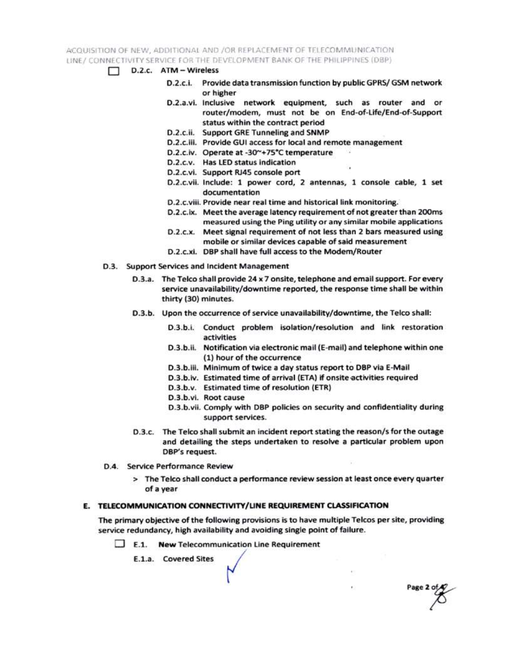ACQUISITION OF NEW, ADDITIONAL AND /OR REPLACEMENT OF TELECOMMUNICATION LINE / CONNECTIVITY SERVICE FOR THE DEVELOPMENT BANK OF THE PHILIPPINES (DBP)

- $\Box$  D.2.c.  $ATM Wireless$ 
	- D.2.c.i. Provide data transmission function by public GPRS/ GSM network or higher
	- D.2.a.vi. Inclusive network equipment, such as router and or router/modem, must not be on End-of-Life/End-of-Support status within the contract period
	- D.2.c.ii. Support GRE Tunneling and SNMP
	- D.2.c.iii. Provide GUI access for local and remote management
	- D.2.c.iv. Operate at -30~+75°C temperature
	- D.2.c.v. Has LED status indication
	- D.2.c.vi. Support RJ45 console port
	- D.2.c.vii. Include: 1 power cord, 2 antennas, 1 console cable, 1 set documentation
	- D.2.c.viii. Provide near real time and historical link monitoring.
	- D.2.c.ix. Meet the average latency requirement of not greater than 200ms measured using the Ping utility or any similar mobile applications
	- D.2.c.x. Meet signal requirement of not less than 2 bars measured using mobile or similar devices capable of said measurement
	- D.2.c.xi. DBP shall have full access to the Modem/Router
- D.3. Support Services and Incident Management
	- D.3.a. The Telco shall provide 24 x 7 onsite, telephone and email support. For every service unavailability/downtime reported, the response time shall be within thirty (30) minutes.
	- D.3.b. Upon the occurrence of service unavailability/downtime, the Telco shall:
		- D.3.b.i. Conduct problem isolation/resolution and link restoration activities
		- D.3.b.ii. Notification via electronic mail (E-mail) and telephone within one (1) hour of the occurrence
		- D.3.b.iii. Minimum of twice a day status report to DBP via E-Mail
		- D.3.b.iv. Estimated time of arrival (ETA) if onsite activities required
		- D.3.b.v. Estimated time of resolution (ETR)
		- D.3.b.vi. Root cause
		- D.3.b.vii. Comply with DBP policies on security and confidentiality during support services.

Page 2 of

- D.3.c. The Telco shall submit an incident report stating the reason/s for the outage and detailing the steps undertaken to resolve a particular problem upon DBP's request.
- D.4. Service Performance Review
	- > The Telco shall conduct a performance review session at least once every quarter of a year

### E. TELECOMMUNICATION CONNECTIVITY/LINE REQUIREMENT CLASSIFICATION

The primary objective of the following provisions is to have multiple Telcos per site, providing service redundancy, high availability and avoiding single point of failure.

 $\Box$  E.1. New Telecommunication Line Requirement

E.1.a. Covered Sites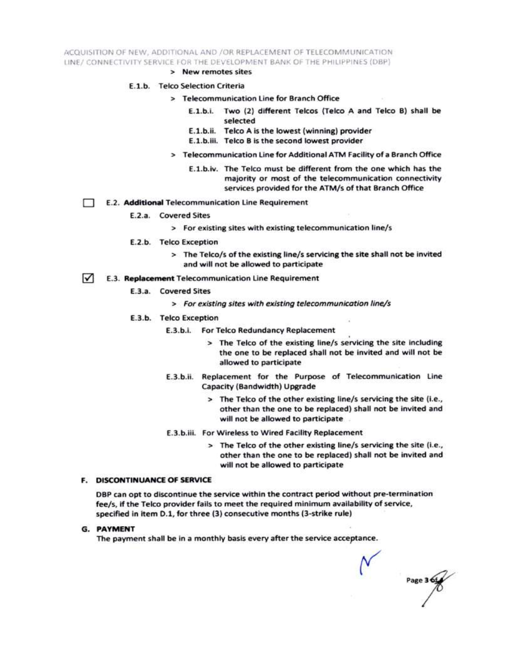ACQUISITION OF NEW, ADDITIONAL AND /OR REPLACEMENT OF TELECOMMUNICATION LINE/ CONNECTIVITY SERVICE FOR THE DEVELOPMENT BANK OF THE PHILIPPINES (DBP)

> New remotes sites

#### E.1.b. Telco Selection Criteria

- > Telecommunication Line for Branch Office
	- E.1.b.i. Two (2) different Telcos (Telco A and Telco B) shall be selected
	- E.1.b.ii. Telco A is the lowest (winning) provider
	- E.1.b.iii. Telco B is the second lowest provider
- > Telecommunication Line for Additional ATM Facility of a Branch Office
	- E.1.b.iv. The Telco must be different from the one which has the majority or most of the telecommunication connectivity services provided for the ATM/s of that Branch Office
- E.2. Additional Telecommunication Line Requirement Ð
	- E.2.a. Covered Sites
		- > For existing sites with existing telecommunication line/s
	- E.2.b. Telco Exception
		- > The Telco/s of the existing line/s servicing the site shall not be invited and will not be allowed to participate
- $\sqrt{ }$ E.3. Replacement Telecommunication Line Requirement
	- E.3.a. Covered Sites
		- > For existing sites with existing telecommunication line/s
	- E.3.b. Telco Exception
		- E.3.b.i. For Telco Redundancy Replacement
			- > The Telco of the existing line/s servicing the site including the one to be replaced shall not be invited and will not be allowed to participate
		- E.3.b.ii. Replacement for the Purpose of Telecommunication Line Capacity (Bandwidth) Upgrade
			- > The Telco of the other existing line/s servicing the site (i.e., other than the one to be replaced) shall not be invited and will not be allowed to participate
		- E.3.b.iii. For Wireless to Wired Facility Replacement
			- > The Telco of the other existing line/s servicing the site (i.e., other than the one to be replaced) shall not be invited and will not be allowed to participate

#### **F. DISCONTINUANCE OF SERVICE**

DBP can opt to discontinue the service within the contract period without pre-termination fee/s, if the Telco provider fails to meet the required minimum availability of service, specified in item D.1, for three (3) consecutive months (3-strike rule)

**G. PAYMENT** 

The payment shall be in a monthly basis every after the service acceptance.

Page 3 6t